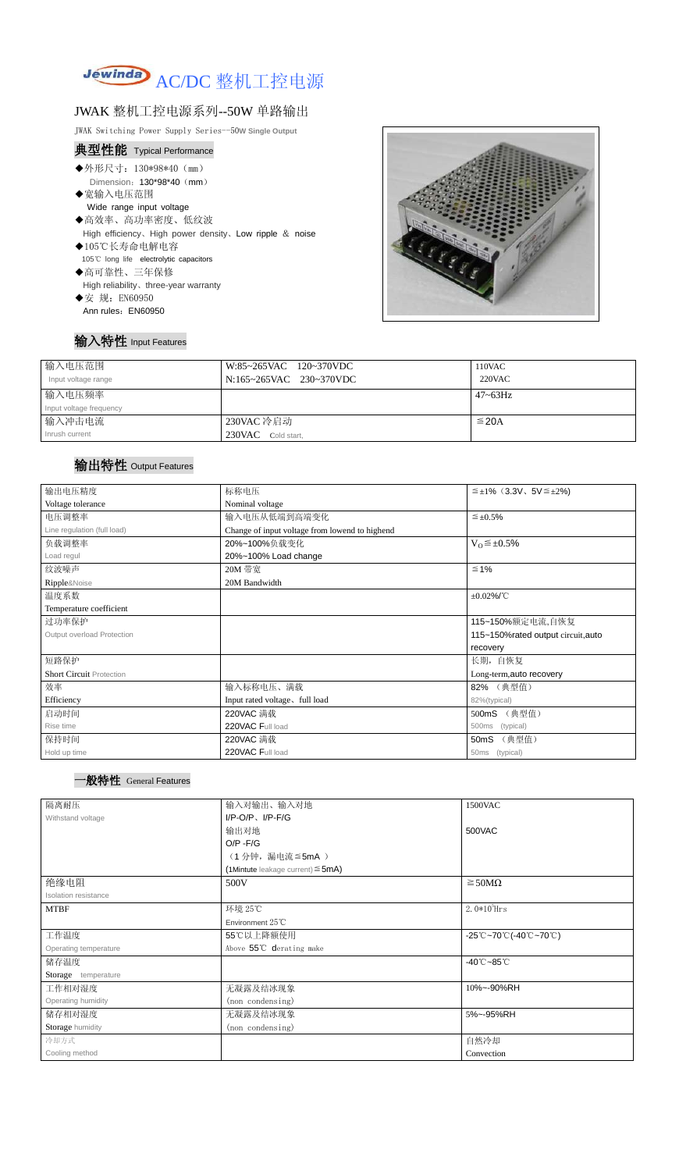

## JWAK 整机工控电源系列--50W 单路输出

JWAK Switching Power Supply Series--50**W Single Output**

| 典型性能 Typical Performance                                   |
|------------------------------------------------------------|
| ◆外形尺寸: 130*98*40 (mm)                                      |
| Dimension: $130*98*40$ (mm)                                |
| ◆宽输入电压范围                                                   |
| Wide range input voltage                                   |
| ◆高效率、高功率密度、低纹波                                             |
| High efficiency, High power density, Low ripple $\&$ noise |
| ◆105℃长寿命电解电容                                               |
| 105°C long life electrolytic capacitors                    |
| ◆高可靠性、三年保修                                                 |
| High reliability, three-year warranty                      |
| ◆安 规: EN60950                                              |
| Ann rules: EN60950                                         |
|                                                            |



## 输入特性 Input Features

| 输入电压范围                  | W:85~265VAC 120~370VDC  | 110VAC        |
|-------------------------|-------------------------|---------------|
| Input voltage range     | N:165~265VAC 230~370VDC | <b>220VAC</b> |
| 输入电压频率                  |                         | $47 - 63$ Hz  |
| Input voltage frequency |                         |               |
| 输入冲击电流                  | 230VAC 冷启动              | $\leq$ 20A    |
| Inrush current          | 230VAC Cold start,      |               |

# 输出特性 Output Features

### 一般特性 General Features

| 输出电压精度                          | 标称电压                                           | $\leq \pm 1\%$ (3.3V, 5V $\leq \pm 2\%$ ) |  |  |
|---------------------------------|------------------------------------------------|-------------------------------------------|--|--|
| Voltage tolerance               | Nominal voltage                                |                                           |  |  |
| 电压调整率                           | 输入电压从低端到高端变化                                   | $\leq \pm 0.5\%$                          |  |  |
| Line regulation (full load)     | Change of input voltage from lowend to highend |                                           |  |  |
| 负载调整率                           | 20%~100%负载变化<br>$V_0 \leq \pm 0.5\%$           |                                           |  |  |
| Load regul                      | 20%~100% Load change                           |                                           |  |  |
| 纹波噪声                            | 20M 带宽                                         | $≤ 1%$                                    |  |  |
| Ripple&Noise                    | 20M Bandwidth                                  |                                           |  |  |
| 温度系数                            | $±0.02\%$ /°C                                  |                                           |  |  |
| Temperature coefficient         |                                                |                                           |  |  |
| 过功率保护                           | 115~150%额定电流,自恢复                               |                                           |  |  |
| Output overload Protection      | 115~150%rated output circuit, auto             |                                           |  |  |
|                                 |                                                | recovery                                  |  |  |
| 短路保护                            | 长期, 自恢复                                        |                                           |  |  |
| <b>Short Circuit Protection</b> | Long-term, auto recovery                       |                                           |  |  |
| 效率                              | 输入标称电压、满载                                      | 82% (典型值)                                 |  |  |
| Efficiency                      | Input rated voltage, full load                 | 82%(typical)                              |  |  |
| 启动时间                            | 220VAC 满载                                      | 500mS (典型值)                               |  |  |
| Rise time                       | 220VAC Full load<br>(typical)<br>500ms         |                                           |  |  |
| 保持时间                            | 220VAC 满载                                      | (典型值)<br>50 <sub>m</sub> S                |  |  |
| Hold up time                    | 220VAC Full load                               | 50ms (typical)                            |  |  |

| 隔离耐压                  | 输入对输出、输入对地                                | 1500VAC                                                                               |  |
|-----------------------|-------------------------------------------|---------------------------------------------------------------------------------------|--|
| Withstand voltage     | $I/P-O/P$ , $I/P-F/G$                     |                                                                                       |  |
|                       | 输出对地                                      | 500VAC                                                                                |  |
|                       | $O/P - F/G$                               |                                                                                       |  |
|                       | (1分钟,漏电流≦5mA)                             |                                                                                       |  |
|                       | $(1$ Mintute leakage current) $\leq$ 5mA) |                                                                                       |  |
| 绝缘电阻                  | $\geq$ 50M $\Omega$<br>500V               |                                                                                       |  |
| Isolation resistance  |                                           |                                                                                       |  |
| <b>MTBF</b>           | 环境 25℃                                    | $2.0*105$ Hrs                                                                         |  |
|                       | Environment $25^{\circ}$ C                |                                                                                       |  |
| 工作温度                  | 55℃以上降额使用                                 | $-25^{\circ}\text{C}-70^{\circ}\text{C}$ (-40 $^{\circ}\text{C}-70^{\circ}\text{C}$ ) |  |
| Operating temperature | Above 55°C derating make                  |                                                                                       |  |
| 储存温度                  |                                           | $-40^{\circ}$ C $-85^{\circ}$ C                                                       |  |
| Storage temperature   |                                           |                                                                                       |  |
| 工作相对湿度                | 无凝露及结冰现象                                  | 10%~-90%RH                                                                            |  |
| Operating humidity    | (non condensing)                          |                                                                                       |  |
| 储存相对湿度                | 无凝露及结冰现象                                  | 5%~-95%RH                                                                             |  |
| Storage humidity      | (non condensing)                          |                                                                                       |  |
| 冷却方式                  |                                           | 自然冷却                                                                                  |  |
| Cooling method        |                                           | Convection                                                                            |  |
|                       |                                           |                                                                                       |  |